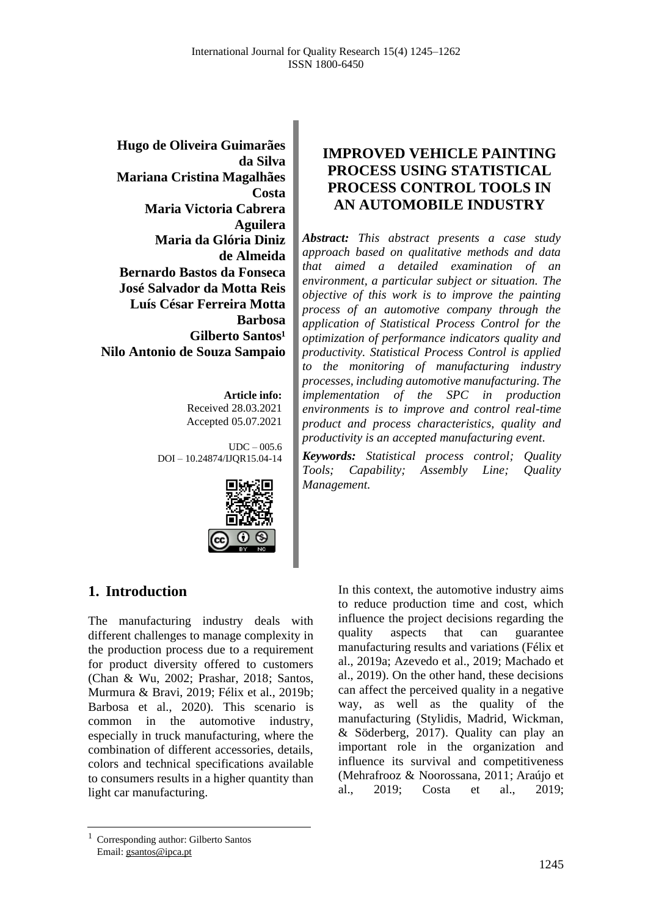**Hugo de Oliveira Guimarães da Silva Mariana Cristina Magalhães Costa Maria Victoria Cabrera Aguilera Maria da Glória Diniz de Almeida Bernardo Bastos da Fonseca José Salvador da Motta Reis Luís César Ferreira Motta Barbosa Gilberto Santos<sup>1</sup> Nilo Antonio de Souza Sampaio**

> **Article info:** Received 28.03.2021 Accepted 05.07.2021

 $UDC - 005.6$ DOI – 10.24874/IJQR15.04-14



# **IMPROVED VEHICLE PAINTING PROCESS USING STATISTICAL PROCESS CONTROL TOOLS IN AN AUTOMOBILE INDUSTRY**

*Abstract: This abstract presents a case study approach based on qualitative methods and data that aimed a detailed examination of an environment, a particular subject or situation. The objective of this work is to improve the painting process of an automotive company through the application of Statistical Process Control for the optimization of performance indicators quality and productivity. Statistical Process Control is applied to the monitoring of manufacturing industry processes, including automotive manufacturing. The implementation of the SPC in production environments is to improve and control real-time product and process characteristics, quality and productivity is an accepted manufacturing event.*

*Keywords: Statistical process control; Quality Tools; Capability; Assembly Line; Quality Management.*

# **1. Introduction**

The manufacturing industry deals with different challenges to manage complexity in the production process due to a requirement for product diversity offered to customers (Chan & Wu, 2002; Prashar, 2018; Santos, Murmura & Bravi, 2019; Félix et al., 2019b; Barbosa et al., 2020). This scenario is common in the automotive industry, especially in truck manufacturing, where the combination of different accessories, details, colors and technical specifications available to consumers results in a higher quantity than light car manufacturing.

In this context, the automotive industry aims to reduce production time and cost, which influence the project decisions regarding the quality aspects that can guarantee manufacturing results and variations (Félix et al., 2019a; Azevedo et al., 2019; Machado et al., 2019). On the other hand, these decisions can affect the perceived quality in a negative way, as well as the quality of the manufacturing (Stylidis, Madrid, Wickman, & Söderberg, 2017). Quality can play an important role in the organization and influence its survival and competitiveness (Mehrafrooz & Noorossana, 2011; Araújo et al., 2019; Costa et al., 2019;

<sup>1</sup> Corresponding author: Gilberto Santos Email: gsantos@ipca.pt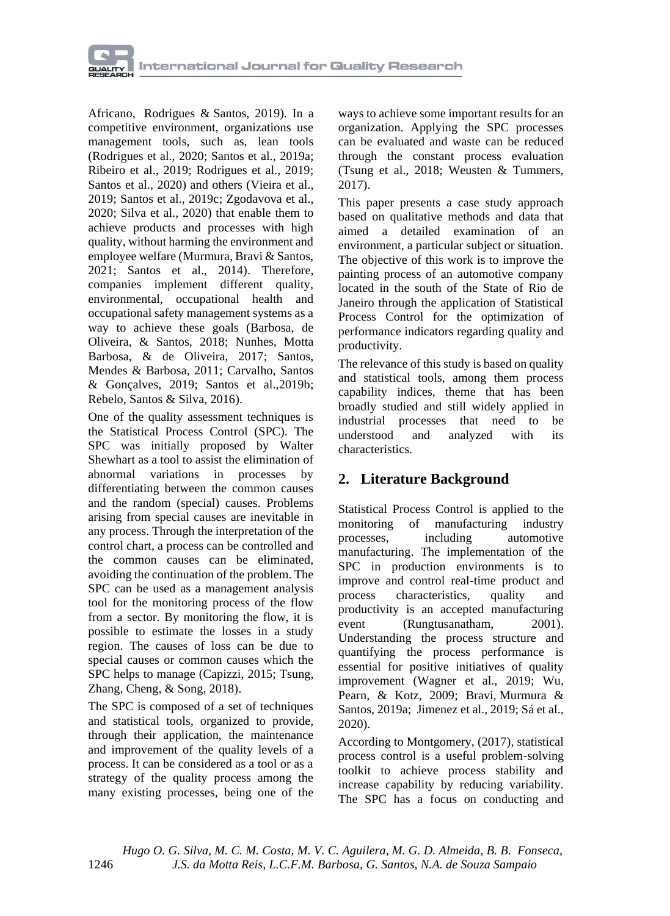

Africano, Rodrigues & Santos, 2019). In a competitive environment, organizations use management tools, such as, lean tools (Rodrigues et al., 2020; Santos et al., 2019a; Ribeiro et al., 2019; Rodrigues et al., 2019; Santos et al., 2020) and others (Vieira et al., 2019; Santos et al., 2019c; Zgodavova et al., 2020; Silva et al., 2020) that enable them to achieve products and processes with high quality, without harming the environment and employee welfare (Murmura, Bravi & Santos, 2021; Santos et al., 2014). Therefore, companies implement different quality, environmental, occupational health and occupational safety management systems as a way to achieve these goals (Barbosa, de Oliveira, & Santos, 2018; Nunhes, Motta Barbosa, & de Oliveira, 2017; Santos, Mendes & Barbosa, 2011; Carvalho, Santos & Gonçalves, 2019; Santos et al.,2019b; Rebelo, Santos & Silva, 2016).

One of the quality assessment techniques is the Statistical Process Control (SPC). The SPC was initially proposed by Walter Shewhart as a tool to assist the elimination of abnormal variations in processes by differentiating between the common causes and the random (special) causes. Problems arising from special causes are inevitable in any process. Through the interpretation of the control chart, a process can be controlled and the common causes can be eliminated, avoiding the continuation of the problem. The SPC can be used as a management analysis tool for the monitoring process of the flow from a sector. By monitoring the flow, it is possible to estimate the losses in a study region. The causes of loss can be due to special causes or common causes which the SPC helps to manage (Capizzi, 2015; Tsung, Zhang, Cheng, & Song, 2018).

The SPC is composed of a set of techniques and statistical tools, organized to provide, through their application, the maintenance and improvement of the quality levels of a process. It can be considered as a tool or as a strategy of the quality process among the many existing processes, being one of the

ways to achieve some important results for an organization. Applying the SPC processes can be evaluated and waste can be reduced through the constant process evaluation (Tsung et al., 2018; Weusten & Tummers, 2017).

This paper presents a case study approach based on qualitative methods and data that aimed a detailed examination of an environment, a particular subject or situation. The objective of this work is to improve the painting process of an automotive company located in the south of the State of Rio de Janeiro through the application of Statistical Process Control for the optimization of performance indicators regarding quality and productivity.

The relevance of this study is based on quality and statistical tools, among them process capability indices, theme that has been broadly studied and still widely applied in industrial processes that need to be understood and analyzed with its characteristics.

# **2. Literature Background**

Statistical Process Control is applied to the monitoring of manufacturing industry processes, including automotive manufacturing. The implementation of the SPC in production environments is to improve and control real-time product and process characteristics, quality and productivity is an accepted manufacturing event (Rungtusanatham, 2001). Understanding the process structure and quantifying the process performance is essential for positive initiatives of quality improvement (Wagner et al., 2019; Wu, Pearn, & Kotz, 2009; Bravi, Murmura & Santos, 2019a; Jimenez et al., 2019; Sá et al., 2020).

According to Montgomery, (2017), statistical process control is a useful problem-solving toolkit to achieve process stability and increase capability by reducing variability. The SPC has a focus on conducting and

 *Hugo O. G. Silva, M. C. M. Costa, M. V. C. Aguilera, M. G. D. Almeida, B. B. Fonseca,* 1246 *J.S. da Motta Reis, L.C.F.M. Barbosa, G. Santos, N.A. de Souza Sampaio*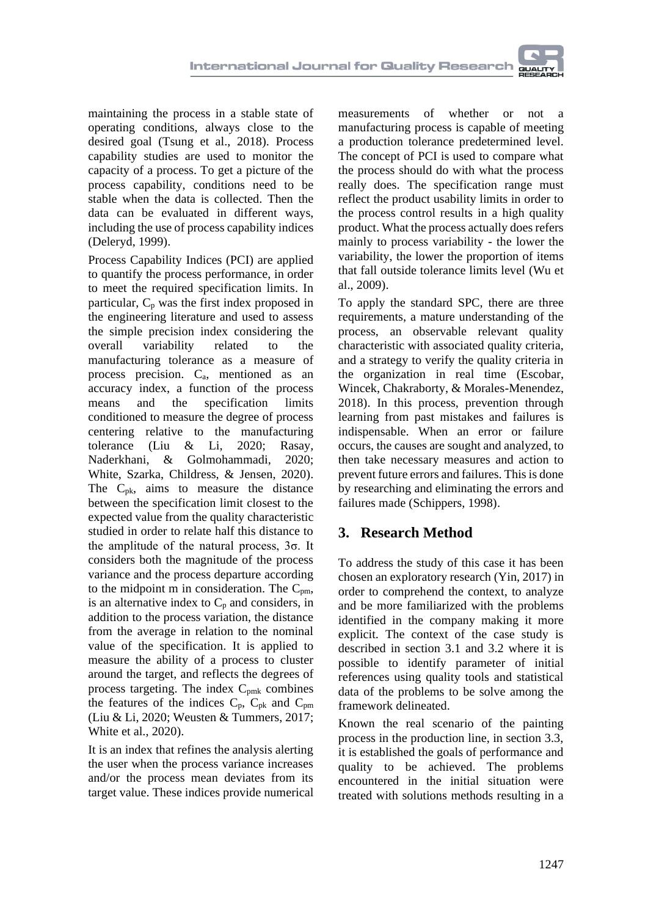maintaining the process in a stable state of operating conditions, always close to the desired goal (Tsung et al., 2018). Process capability studies are used to monitor the capacity of a process. To get a picture of the process capability, conditions need to be stable when the data is collected. Then the data can be evaluated in different ways, including the use of process capability indices (Deleryd, 1999).

Process Capability Indices (PCI) are applied to quantify the process performance, in order to meet the required specification limits. In particular,  $C_p$  was the first index proposed in the engineering literature and used to assess the simple precision index considering the overall variability related to the manufacturing tolerance as a measure of process precision. Ca, mentioned as an accuracy index, a function of the process means and the specification limits conditioned to measure the degree of process centering relative to the manufacturing tolerance (Liu & Li, 2020; Rasay, Naderkhani, & Golmohammadi, 2020; White, Szarka, Childress, & Jensen, 2020). The  $C_{\rm pk}$ , aims to measure the distance between the specification limit closest to the expected value from the quality characteristic studied in order to relate half this distance to the amplitude of the natural process, 3σ. It considers both the magnitude of the process variance and the process departure according to the midpoint m in consideration. The  $C_{pm}$ , is an alternative index to  $C_p$  and considers, in addition to the process variation, the distance from the average in relation to the nominal value of the specification. It is applied to measure the ability of a process to cluster around the target, and reflects the degrees of process targeting. The index C<sub>pmk</sub> combines the features of the indices  $C_p$ ,  $C_{pk}$  and  $C_{pm}$ (Liu & Li, 2020; Weusten & Tummers, 2017; White et al., 2020).

It is an index that refines the analysis alerting the user when the process variance increases and/or the process mean deviates from its target value. These indices provide numerical

measurements of whether or not a manufacturing process is capable of meeting a production tolerance predetermined level. The concept of PCI is used to compare what the process should do with what the process really does. The specification range must reflect the product usability limits in order to the process control results in a high quality product. What the process actually does refers mainly to process variability - the lower the variability, the lower the proportion of items that fall outside tolerance limits level (Wu et al., 2009).

To apply the standard SPC, there are three requirements, a mature understanding of the process, an observable relevant quality characteristic with associated quality criteria, and a strategy to verify the quality criteria in the organization in real time (Escobar, Wincek, Chakraborty, & Morales-Menendez, 2018). In this process, prevention through learning from past mistakes and failures is indispensable. When an error or failure occurs, the causes are sought and analyzed, to then take necessary measures and action to prevent future errors and failures. This is done by researching and eliminating the errors and failures made (Schippers, 1998).

# **3. Research Method**

To address the study of this case it has been chosen an exploratory research (Yin, 2017) in order to comprehend the context, to analyze and be more familiarized with the problems identified in the company making it more explicit. The context of the case study is described in section 3.1 and 3.2 where it is possible to identify parameter of initial references using quality tools and statistical data of the problems to be solve among the framework delineated.

Known the real scenario of the painting process in the production line, in section 3.3, it is established the goals of performance and quality to be achieved. The problems encountered in the initial situation were treated with solutions methods resulting in a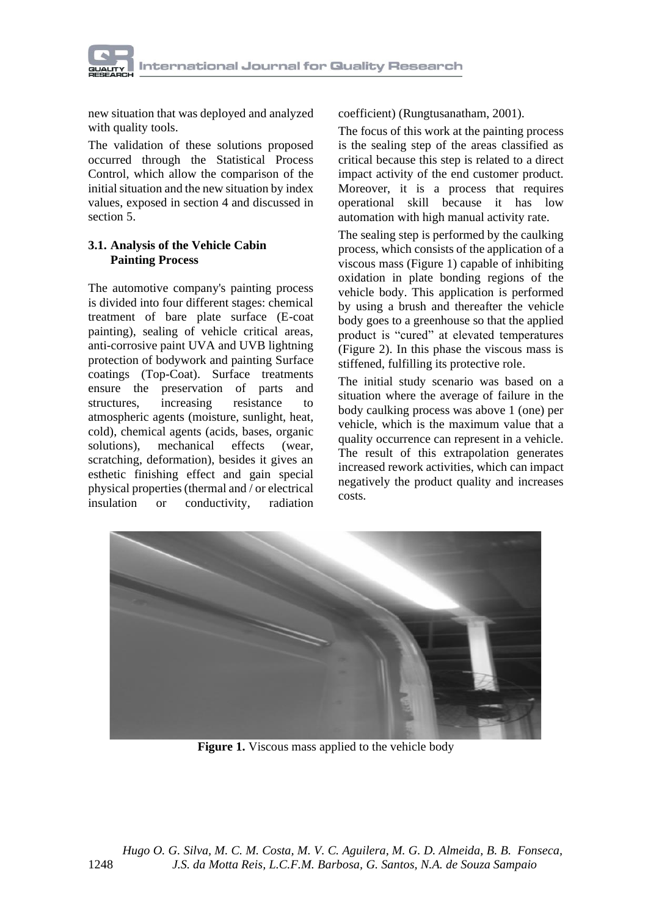

new situation that was deployed and analyzed with quality tools.

The validation of these solutions proposed occurred through the Statistical Process Control, which allow the comparison of the initial situation and the new situation by index values, exposed in section 4 and discussed in section 5.

#### **3.1. Analysis of the Vehicle Cabin Painting Process**

The automotive company's painting process is divided into four different stages: chemical treatment of bare plate surface (E-coat painting), sealing of vehicle critical areas, anti-corrosive paint UVA and UVB lightning protection of bodywork and painting Surface coatings (Top-Coat). Surface treatments ensure the preservation of parts and structures, increasing resistance to atmospheric agents (moisture, sunlight, heat, cold), chemical agents (acids, bases, organic solutions), mechanical effects (wear, scratching, deformation), besides it gives an esthetic finishing effect and gain special physical properties (thermal and / or electrical insulation or conductivity, radiation coefficient) (Rungtusanatham, 2001).

The focus of this work at the painting process is the sealing step of the areas classified as critical because this step is related to a direct impact activity of the end customer product. Moreover, it is a process that requires operational skill because it has low automation with high manual activity rate.

The sealing step is performed by the caulking process, which consists of the application of a viscous mass (Figure 1) capable of inhibiting oxidation in plate bonding regions of the vehicle body. This application is performed by using a brush and thereafter the vehicle body goes to a greenhouse so that the applied product is "cured" at elevated temperatures (Figure 2). In this phase the viscous mass is stiffened, fulfilling its protective role.

The initial study scenario was based on a situation where the average of failure in the body caulking process was above 1 (one) per vehicle, which is the maximum value that a quality occurrence can represent in a vehicle. The result of this extrapolation generates increased rework activities, which can impact negatively the product quality and increases costs.



**Figure 1.** Viscous mass applied to the vehicle body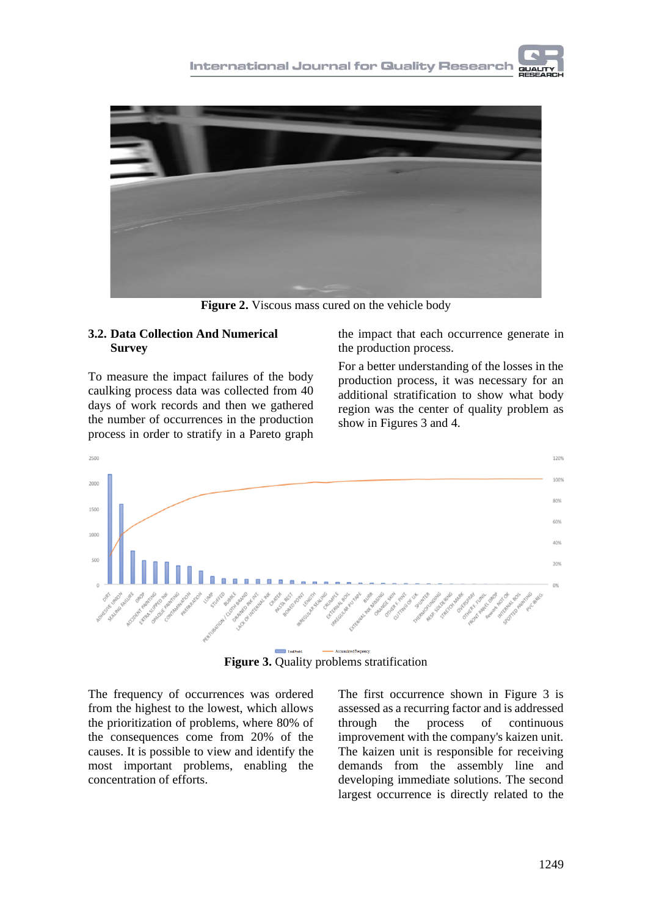

**Figure 2.** Viscous mass cured on the vehicle body

#### **3.2. Data Collection And Numerical Survey**

To measure the impact failures of the body caulking process data was collected from 40 days of work records and then we gathered the number of occurrences in the production process in order to stratify in a Pareto graph

the impact that each occurrence generate in the production process.

For a better understanding of the losses in the production process, it was necessary for an additional stratification to show what body region was the center of quality problem as show in Figures 3 and 4.



**Figure 3.** Quality problems stratification

The frequency of occurrences was ordered from the highest to the lowest, which allows the prioritization of problems, where 80% of the consequences come from 20% of the causes. It is possible to view and identify the most important problems, enabling the concentration of efforts.

The first occurrence shown in Figure 3 is assessed as a recurring factor and is addressed through the process of continuous improvement with the company's kaizen unit. The kaizen unit is responsible for receiving demands from the assembly line and developing immediate solutions. The second largest occurrence is directly related to the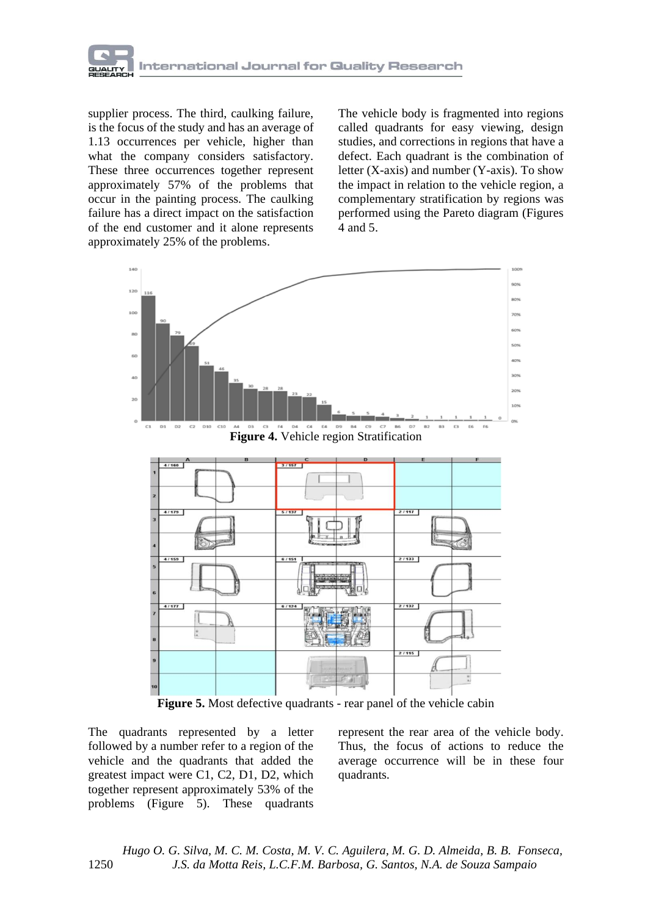

supplier process. The third, caulking failure, is the focus of the study and has an average of 1.13 occurrences per vehicle, higher than what the company considers satisfactory. These three occurrences together represent approximately 57% of the problems that occur in the painting process. The caulking failure has a direct impact on the satisfaction of the end customer and it alone represents approximately 25% of the problems.

The vehicle body is fragmented into regions called quadrants for easy viewing, design studies, and corrections in regions that have a defect. Each quadrant is the combination of letter (X-axis) and number (Y-axis). To show the impact in relation to the vehicle region, a complementary stratification by regions was performed using the Pareto diagram (Figures 4 and 5.



**Figure 5.** Most defective quadrants - rear panel of the vehicle cabin

The quadrants represented by a letter followed by a number refer to a region of the vehicle and the quadrants that added the greatest impact were C1, C2, D1, D2, which together represent approximately 53% of the problems (Figure 5). These quadrants

represent the rear area of the vehicle body. Thus, the focus of actions to reduce the average occurrence will be in these four quadrants.

 *Hugo O. G. Silva, M. C. M. Costa, M. V. C. Aguilera, M. G. D. Almeida, B. B. Fonseca,* 1250 *J.S. da Motta Reis, L.C.F.M. Barbosa, G. Santos, N.A. de Souza Sampaio*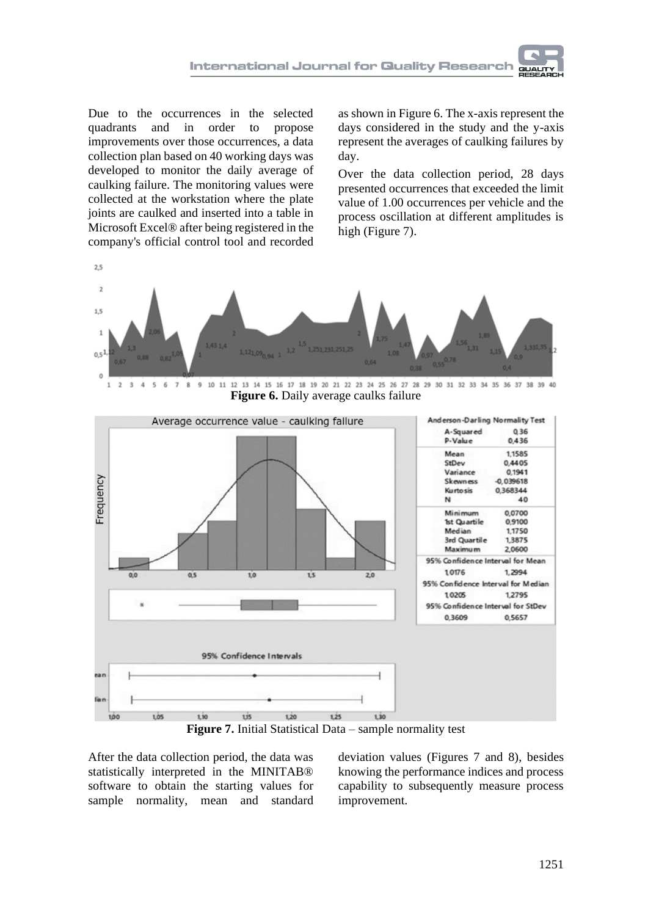

Due to the occurrences in the selected quadrants and in order to propose improvements over those occurrences, a data collection plan based on 40 working days was developed to monitor the daily average of caulking failure. The monitoring values were collected at the workstation where the plate joints are caulked and inserted into a table in Microsoft Excel® after being registered in the company's official control tool and recorded

as shown in Figure 6. The x-axis represent the days considered in the study and the y-axis represent the averages of caulking failures by day.

Over the data collection period, 28 days presented occurrences that exceeded the limit value of 1.00 occurrences per vehicle and the process oscillation at different amplitudes is high (Figure 7).



 $\ddot{4}$  $\overline{\mathbf{5}}$  $\sqrt{6}$  $\overline{7}$ 9 10 11 12 13 14 15 16 17 18 19 20 21 22 23 24 25 26 27 28 29 30 31 32 33 34 35 36 37 38 39 40  $\,$  8 **Figure 6.** Daily average caulks failure



**Figure 7.** Initial Statistical Data – sample normality test

After the data collection period, the data was statistically interpreted in the MINITAB® software to obtain the starting values for sample normality, mean and standard

deviation values (Figures 7 and 8), besides knowing the performance indices and process capability to subsequently measure process improvement.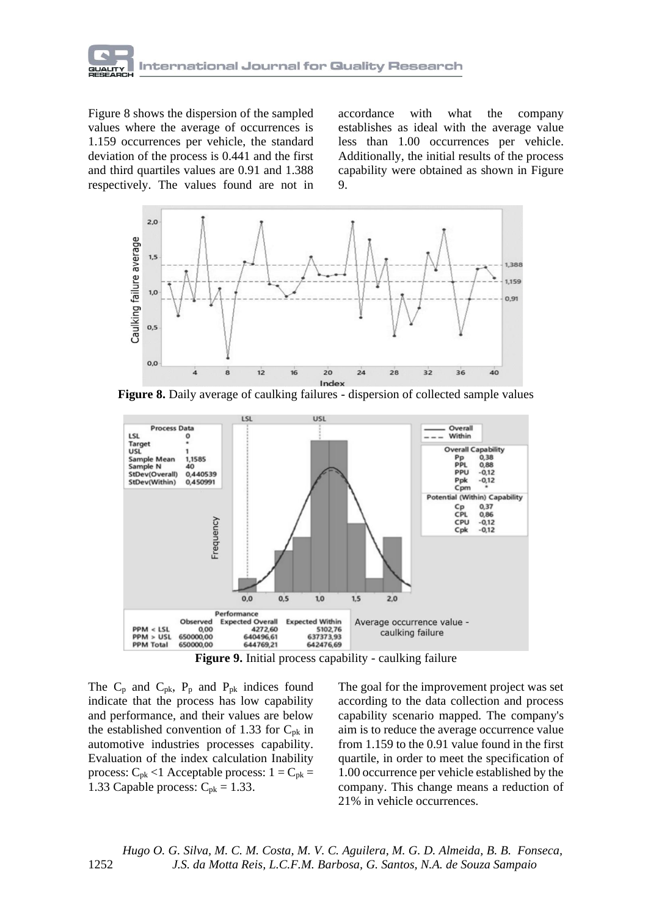

Figure 8 shows the dispersion of the sampled values where the average of occurrences is 1.159 occurrences per vehicle, the standard deviation of the process is 0.441 and the first and third quartiles values are 0.91 and 1.388 respectively. The values found are not in

accordance with what the company establishes as ideal with the average value less than 1.00 occurrences per vehicle. Additionally, the initial results of the process capability were obtained as shown in Figure 9.



**Figure 8.** Daily average of caulking failures - dispersion of collected sample values



**Figure 9.** Initial process capability - caulking failure

The  $C_p$  and  $C_{pk}$ ,  $P_p$  and  $P_{pk}$  indices found indicate that the process has low capability and performance, and their values are below the established convention of 1.33 for  $C_{pk}$  in automotive industries processes capability. Evaluation of the index calculation Inability process:  $C_{pk}$  <1 Acceptable process:  $1 = C_{pk}$  = 1.33 Capable process:  $C_{\rm pk} = 1.33$ .

The goal for the improvement project was set according to the data collection and process capability scenario mapped. The company's aim is to reduce the average occurrence value from 1.159 to the 0.91 value found in the first quartile, in order to meet the specification of 1.00 occurrence per vehicle established by the company. This change means a reduction of 21% in vehicle occurrences.

 *Hugo O. G. Silva, M. C. M. Costa, M. V. C. Aguilera, M. G. D. Almeida, B. B. Fonseca,* 1252 *J.S. da Motta Reis, L.C.F.M. Barbosa, G. Santos, N.A. de Souza Sampaio*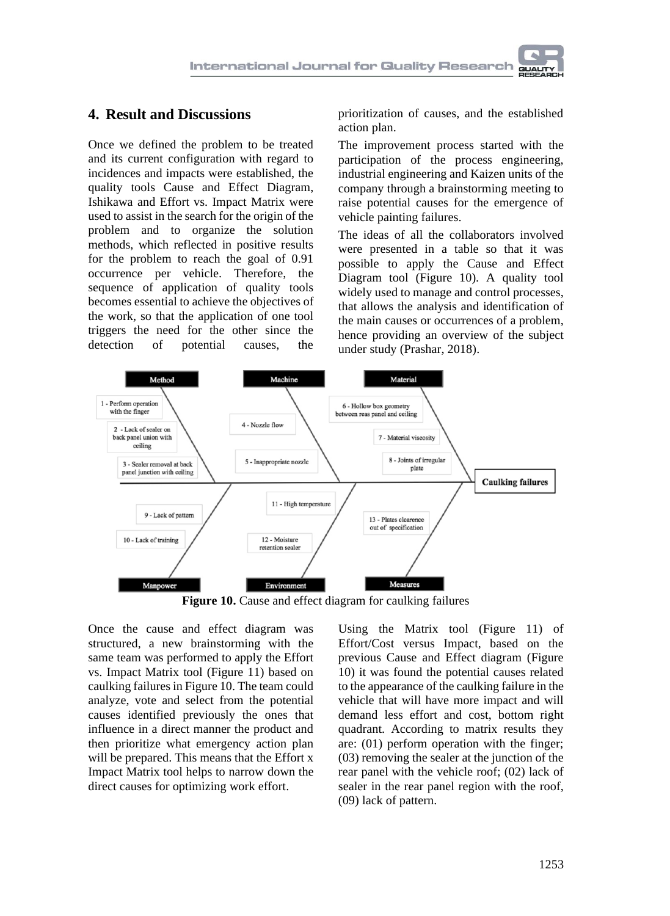# **4. Result and Discussions**

Once we defined the problem to be treated and its current configuration with regard to incidences and impacts were established, the quality tools Cause and Effect Diagram, Ishikawa and Effort vs. Impact Matrix were used to assist in the search for the origin of the problem and to organize the solution methods, which reflected in positive results for the problem to reach the goal of 0.91 occurrence per vehicle. Therefore, the sequence of application of quality tools becomes essential to achieve the objectives of the work, so that the application of one tool triggers the need for the other since the detection of potential causes, the of potential causes, the

prioritization of causes, and the established action plan.

The improvement process started with the participation of the process engineering, industrial engineering and Kaizen units of the company through a brainstorming meeting to raise potential causes for the emergence of vehicle painting failures.

The ideas of all the collaborators involved were presented in a table so that it was possible to apply the Cause and Effect Diagram tool (Figure 10). A quality tool widely used to manage and control processes, that allows the analysis and identification of the main causes or occurrences of a problem, hence providing an overview of the subject under study (Prashar, 2018).



**Figure 10.** Cause and effect diagram for caulking failures

Once the cause and effect diagram was structured, a new brainstorming with the same team was performed to apply the Effort vs. Impact Matrix tool (Figure 11) based on caulking failures in Figure 10. The team could analyze, vote and select from the potential causes identified previously the ones that influence in a direct manner the product and then prioritize what emergency action plan will be prepared. This means that the Effort x Impact Matrix tool helps to narrow down the direct causes for optimizing work effort.

Using the Matrix tool (Figure 11) of Effort/Cost versus Impact, based on the previous Cause and Effect diagram (Figure 10) it was found the potential causes related to the appearance of the caulking failure in the vehicle that will have more impact and will demand less effort and cost, bottom right quadrant. According to matrix results they are: (01) perform operation with the finger; (03) removing the sealer at the junction of the rear panel with the vehicle roof; (02) lack of sealer in the rear panel region with the roof, (09) lack of pattern.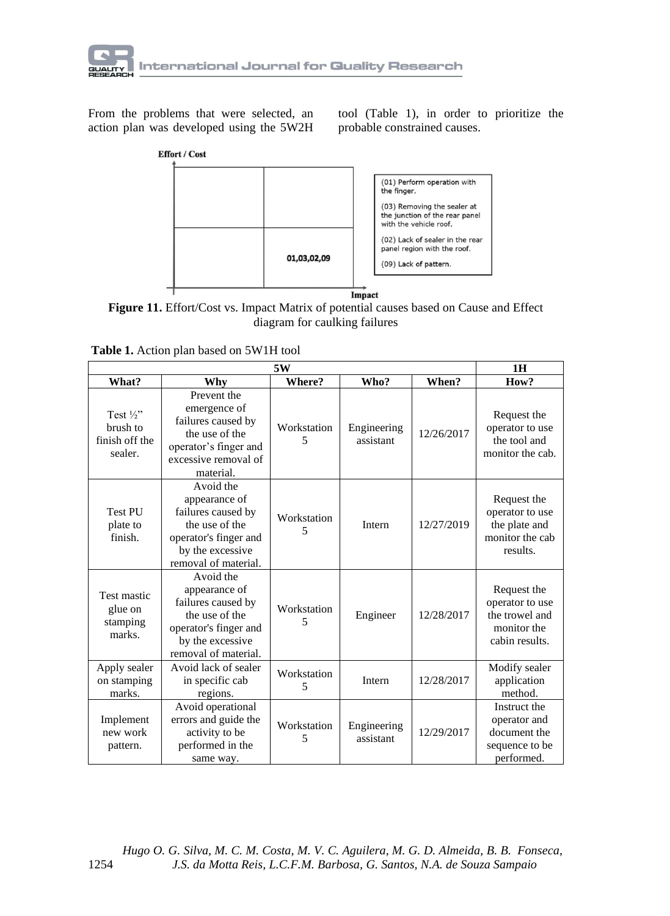

From the problems that were selected, an action plan was developed using the 5W2H tool (Table 1), in order to prioritize the probable constrained causes.



**Figure 11.** Effort/Cost vs. Impact Matrix of potential causes based on Cause and Effect diagram for caulking failures

|                                                             | 1H                                                                                                                                      |                  |                          |            |                                                                                   |
|-------------------------------------------------------------|-----------------------------------------------------------------------------------------------------------------------------------------|------------------|--------------------------|------------|-----------------------------------------------------------------------------------|
| What?                                                       | Why                                                                                                                                     | Where?           | Who?                     | When?      | How?                                                                              |
| Test $\frac{1}{2}$<br>brush to<br>finish off the<br>sealer. | Prevent the<br>emergence of<br>failures caused by<br>the use of the<br>operator's finger and<br>excessive removal of<br>material.       | Workstation<br>5 | Engineering<br>assistant | 12/26/2017 | Request the<br>operator to use<br>the tool and<br>monitor the cab.                |
| Test PU<br>plate to<br>finish.                              | Avoid the<br>appearance of<br>failures caused by<br>the use of the<br>operator's finger and<br>by the excessive<br>removal of material. | Workstation<br>5 | Intern                   | 12/27/2019 | Request the<br>operator to use<br>the plate and<br>monitor the cab<br>results.    |
| Test mastic<br>glue on<br>stamping<br>marks.                | Avoid the<br>appearance of<br>failures caused by<br>the use of the<br>operator's finger and<br>by the excessive<br>removal of material. | Workstation<br>5 | Engineer                 | 12/28/2017 | Request the<br>operator to use<br>the trowel and<br>monitor the<br>cabin results. |
| Apply sealer<br>on stamping<br>marks.                       | Avoid lack of sealer<br>in specific cab<br>regions.                                                                                     | Workstation<br>5 | Intern                   | 12/28/2017 | Modify sealer<br>application<br>method.                                           |
| Implement<br>new work<br>pattern.                           | Avoid operational<br>errors and guide the<br>activity to be<br>performed in the<br>same way.                                            | Workstation<br>5 | Engineering<br>assistant | 12/29/2017 | Instruct the<br>operator and<br>document the<br>sequence to be<br>performed.      |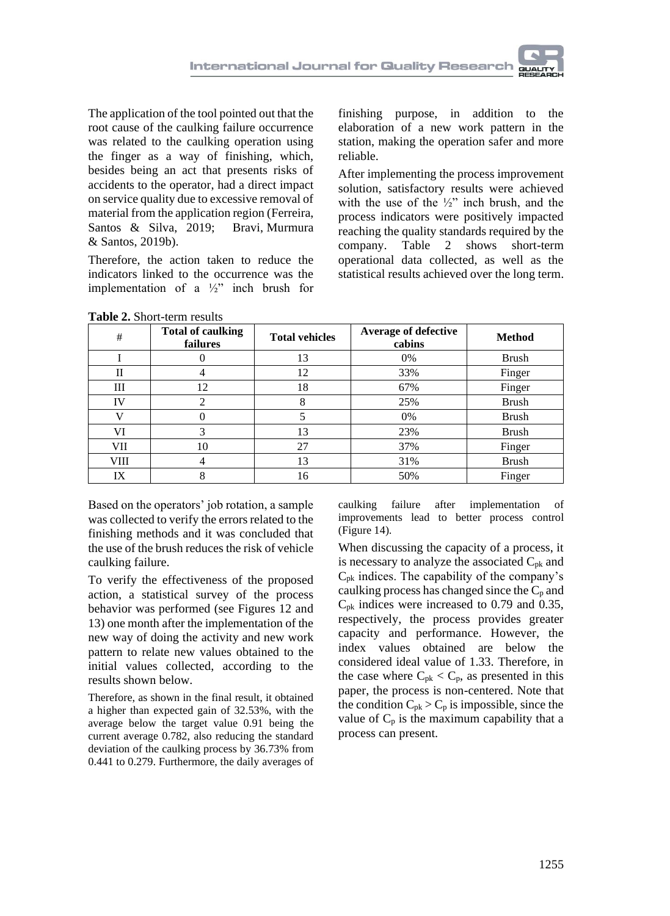

The application of the tool pointed out that the root cause of the caulking failure occurrence was related to the caulking operation using the finger as a way of finishing, which, besides being an act that presents risks of accidents to the operator, had a direct impact on service quality due to excessive removal of material from the application region (Ferreira, Santos & Silva, 2019; Bravi, Murmura & Santos, 2019b).

Therefore, the action taken to reduce the indicators linked to the occurrence was the implementation of a ½" inch brush for

finishing purpose, in addition to the elaboration of a new work pattern in the station, making the operation safer and more reliable.

After implementing the process improvement solution, satisfactory results were achieved with the use of the  $\frac{1}{2}$ " inch brush, and the process indicators were positively impacted reaching the quality standards required by the company. Table 2 shows short-term operational data collected, as well as the statistical results achieved over the long term.

| #    | <b>Total of caulking</b><br>failures | <b>Total vehicles</b> | <b>Average of defective</b><br>cabins | <b>Method</b> |
|------|--------------------------------------|-----------------------|---------------------------------------|---------------|
|      |                                      | 13                    | 0%                                    | <b>Brush</b>  |
| Н    | 4                                    | 12                    | 33%                                   | Finger        |
| Ш    | 12                                   | 18                    | 67%                                   | Finger        |
| IV   | 2                                    | 8                     | 25%                                   | Brush         |
|      | 0                                    |                       | 0%                                    | <b>Brush</b>  |
| VI   | 3                                    | 13                    | 23%                                   | <b>Brush</b>  |
| VII  | 10                                   | 27                    | 37%                                   | Finger        |
| VIII | 4                                    | 13                    | 31%                                   | <b>Brush</b>  |
| IX   | 8                                    | 16                    | 50%                                   | Finger        |

**Table 2.** Short-term results

Based on the operators' job rotation, a sample was collected to verify the errors related to the finishing methods and it was concluded that the use of the brush reduces the risk of vehicle caulking failure.

To verify the effectiveness of the proposed action, a statistical survey of the process behavior was performed (see Figures 12 and 13) one month after the implementation of the new way of doing the activity and new work pattern to relate new values obtained to the initial values collected, according to the results shown below.

Therefore, as shown in the final result, it obtained a higher than expected gain of 32.53%, with the average below the target value 0.91 being the current average 0.782, also reducing the standard deviation of the caulking process by 36.73% from 0.441 to 0.279. Furthermore, the daily averages of caulking failure after implementation of improvements lead to better process control (Figure 14).

When discussing the capacity of a process, it is necessary to analyze the associated  $C_{pk}$  and  $C_{\rm pk}$  indices. The capability of the company's caulking process has changed since the  $C_p$  and  $C_{\rm pk}$  indices were increased to 0.79 and 0.35, respectively, the process provides greater capacity and performance. However, the index values obtained are below the considered ideal value of 1.33. Therefore, in the case where  $C_{pk} < C_p$ , as presented in this paper, the process is non-centered. Note that the condition  $C_{pk} > C_p$  is impossible, since the value of  $C_p$  is the maximum capability that a process can present.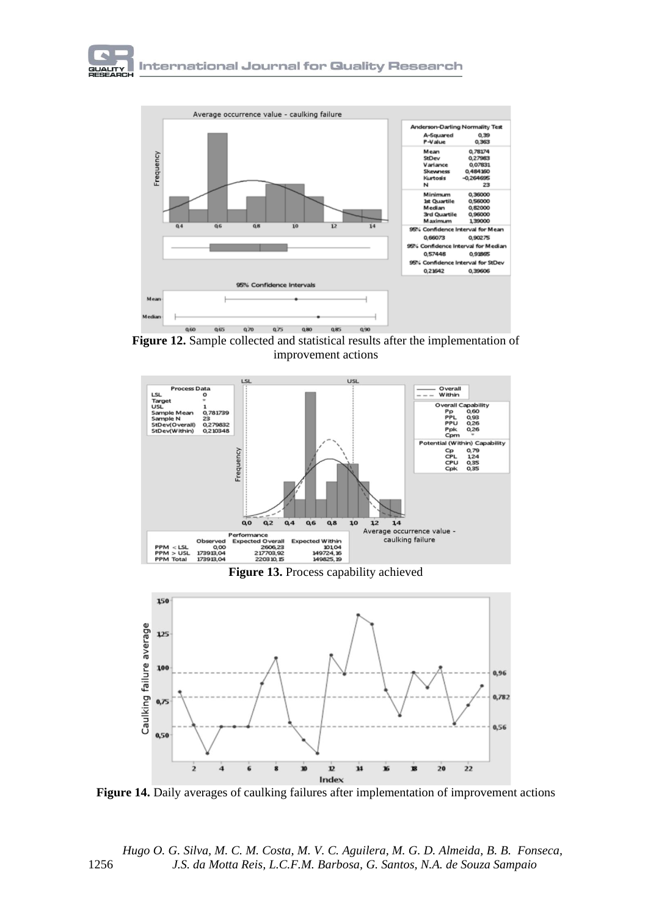

**Figure 12.** Sample collected and statistical results after the implementation of improvement actions



**Figure 13.** Process capability achieved



**Figure 14.** Daily averages of caulking failures after implementation of improvement actions

 *Hugo O. G. Silva, M. C. M. Costa, M. V. C. Aguilera, M. G. D. Almeida, B. B. Fonseca,* 1256 *J.S. da Motta Reis, L.C.F.M. Barbosa, G. Santos, N.A. de Souza Sampaio*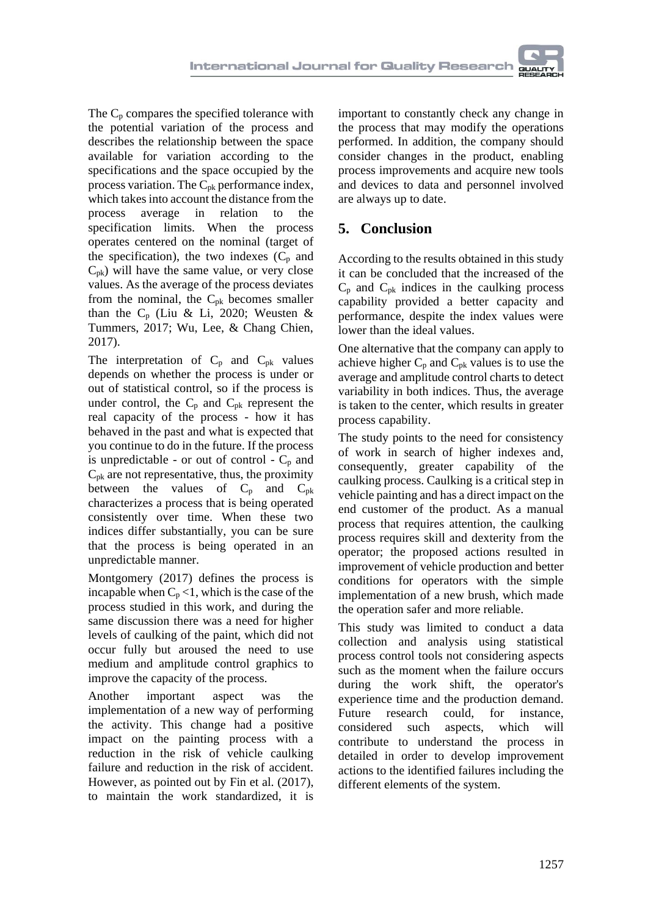The  $C_p$  compares the specified tolerance with the potential variation of the process and describes the relationship between the space available for variation according to the specifications and the space occupied by the process variation. The  $C_{pk}$  performance index, which takes into account the distance from the process average in relation to the specification limits. When the process operates centered on the nominal (target of the specification), the two indexes  $(C_p$  and  $C_{\text{pk}}$ ) will have the same value, or very close values. As the average of the process deviates from the nominal, the  $C_{pk}$  becomes smaller than the  $C_p$  (Liu & Li, 2020; Weusten & Tummers, 2017; Wu, Lee, & Chang Chien, 2017).

The interpretation of  $C_p$  and  $C_{pk}$  values depends on whether the process is under or out of statistical control, so if the process is under control, the  $C_p$  and  $C_{pk}$  represent the real capacity of the process - how it has behaved in the past and what is expected that you continue to do in the future. If the process is unpredictable - or out of control -  $C_p$  and  $C_{pk}$  are not representative, thus, the proximity between the values of  $C_p$  and  $C_{pk}$ characterizes a process that is being operated consistently over time. When these two indices differ substantially, you can be sure that the process is being operated in an unpredictable manner.

Montgomery (2017) defines the process is incapable when  $C_p < 1$ , which is the case of the process studied in this work, and during the same discussion there was a need for higher levels of caulking of the paint, which did not occur fully but aroused the need to use medium and amplitude control graphics to improve the capacity of the process.

Another important aspect was the implementation of a new way of performing the activity. This change had a positive impact on the painting process with a reduction in the risk of vehicle caulking failure and reduction in the risk of accident. However, as pointed out by Fin et al. (2017), to maintain the work standardized, it is

important to constantly check any change in the process that may modify the operations performed. In addition, the company should consider changes in the product, enabling process improvements and acquire new tools and devices to data and personnel involved are always up to date.

# **5. Conclusion**

According to the results obtained in this study it can be concluded that the increased of the  $C_p$  and  $C_{pk}$  indices in the caulking process capability provided a better capacity and performance, despite the index values were lower than the ideal values.

One alternative that the company can apply to achieve higher  $C_p$  and  $C_{pk}$  values is to use the average and amplitude control charts to detect variability in both indices. Thus, the average is taken to the center, which results in greater process capability.

The study points to the need for consistency of work in search of higher indexes and, consequently, greater capability of the caulking process. Caulking is a critical step in vehicle painting and has a direct impact on the end customer of the product. As a manual process that requires attention, the caulking process requires skill and dexterity from the operator; the proposed actions resulted in improvement of vehicle production and better conditions for operators with the simple implementation of a new brush, which made the operation safer and more reliable.

This study was limited to conduct a data collection and analysis using statistical process control tools not considering aspects such as the moment when the failure occurs during the work shift, the operator's experience time and the production demand. Future research could, for instance, considered such aspects, which will contribute to understand the process in detailed in order to develop improvement actions to the identified failures including the different elements of the system.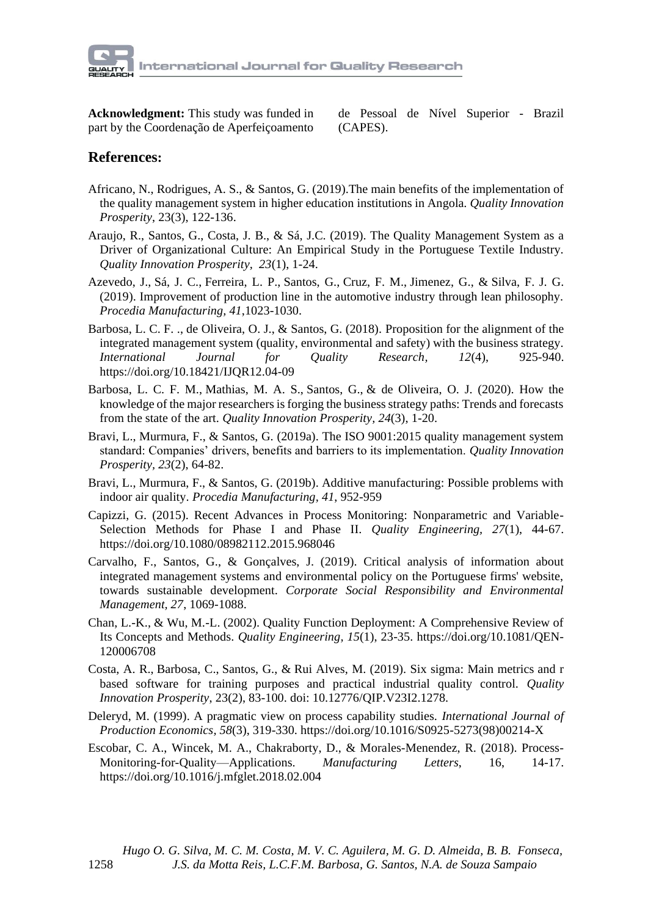

**Acknowledgment:** This study was funded in part by the Coordenação de Aperfeiçoamento de Pessoal de Nível Superior - Brazil (CAPES).

### **References:**

- Africano, N., Rodrigues, A. S., & Santos, G. (2019).The main benefits of the implementation of the quality management system in higher education institutions in Angola*. Quality Innovation Prosperity*, 23(3), 122-136.
- Araujo, R., Santos, G., Costa, J. B., & Sá, J.C. (2019). The Quality Management System as a Driver of Organizational Culture: An Empirical Study in the Portuguese Textile Industry. *Quality Innovation Prosperity, 23*(1), 1-24.
- Azevedo, J., Sá, J. C., Ferreira, L. P., Santos, G., Cruz, F. M., Jimenez, G., & Silva, F. J. G. (2019). Improvement of production line in the automotive industry through lean philosophy. *Procedia Manufacturing, 41*,1023-1030.
- Barbosa, L. C. F. ., de Oliveira, O. J., & Santos, G. (2018). Proposition for the alignment of the integrated management system (quality, environmental and safety) with the business strategy. *International Journal for Quality Research, 12*(4), 925-940. https://doi.org/10.18421/IJQR12.04-09
- Barbosa, L. C. F. M., Mathias, M. A. S., Santos, G., & de Oliveira, O. J. (2020). How the knowledge of the major researchers is forging the business strategy paths: Trends and forecasts from the state of the art. *Quality Innovation Prosperity, 24*(3), 1-20.
- Bravi, L., Murmura, F., & Santos, G. (2019a). The ISO 9001:2015 quality management system standard: Companies' drivers, benefits and barriers to its implementation. *Quality Innovation Prosperity, 23*(2), 64-82.
- Bravi, L., Murmura, F., & Santos, G. (2019b). Additive manufacturing: Possible problems with indoor air quality. *Procedia Manufacturing, 41*, 952-959
- Capizzi, G. (2015). Recent Advances in Process Monitoring: Nonparametric and Variable-Selection Methods for Phase I and Phase II. *Quality Engineering, 27*(1), 44-67. https://doi.org/10.1080/08982112.2015.968046
- Carvalho, F., Santos, G., & Gonçalves, J. (2019). Critical analysis of information about integrated management systems and environmental policy on the Portuguese firms' website, towards sustainable development. *Corporate Social Responsibility and Environmental Management, 27*, 1069-1088.
- Chan, L.-K., & Wu, M.-L. (2002). Quality Function Deployment: A Comprehensive Review of Its Concepts and Methods. *Quality Engineering, 15*(1), 23-35. https://doi.org/10.1081/QEN-120006708
- Costa, A. R., Barbosa, C., Santos, G., & Rui Alves, M. (2019). Six sigma: Main metrics and r based software for training purposes and practical industrial quality control. *Quality Innovation Prosperity*, 23(2), 83-100. doi: 10.12776/QIP.V23I2.1278.
- Deleryd, M. (1999). A pragmatic view on process capability studies. *International Journal of Production Economics, 58*(3), 319-330. https://doi.org/10.1016/S0925-5273(98)00214-X
- Escobar, C. A., Wincek, M. A., Chakraborty, D., & Morales-Menendez, R. (2018). Process-Monitoring-for-Quality—Applications. *Manufacturing Letters*, 16, 14-17. https://doi.org/10.1016/j.mfglet.2018.02.004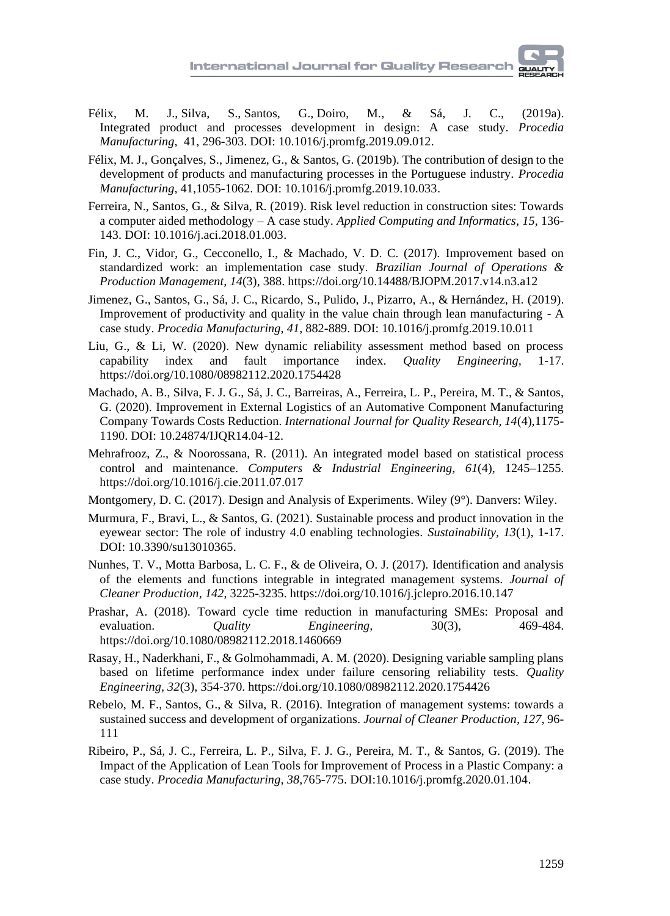- Félix, M. J., Silva, S., Santos, G., Doiro, M., & Sá, J. C., (2019a). Integrated product and processes development in design: A case study. *Procedia Manufacturing*, 41, 296-303. [DOI: 10.1016/j.promfg.2019.09.012.](https://doi.org/10.1016/j.promfg.2019.09.012)
- Félix, M. J., Gonçalves, S., Jimenez, G., & Santos, G. (2019b). The contribution of design to the development of products and manufacturing processes in the Portuguese industry. *Procedia Manufacturing*, 41,1055-1062. [DOI: 10.1016/j.promfg.2019.10.033.](https://doi.org/10.1016/j.promfg.2019.10.033)
- Ferreira, N., Santos, G., & Silva, R. (2019). Risk level reduction in construction sites: Towards a computer aided methodology – A case study. *Applied Computing and Informatics, 15*, 136- 143. [DOI: 10.1016/j.aci.2018.01.003.](https://doi.org/10.1016/j.aci.2018.01.003)
- Fin, J. C., Vidor, G., Cecconello, I., & Machado, V. D. C. (2017). Improvement based on standardized work: an implementation case study. *Brazilian Journal of Operations & Production Management, 14*(3), 388. https://doi.org/10.14488/BJOPM.2017.v14.n3.a12
- Jimenez, G., Santos, G., Sá, J. C., Ricardo, S., Pulido, J., Pizarro, A., & Hernández, H. (2019). Improvement of productivity and quality in the value chain through lean manufacturing - A case study. *Procedia Manufacturing, 41*, 882-889. [DOI: 10.1016/j.promfg.2019.10.011](https://doi.org/10.1016/j.promfg.2019.10.011)
- Liu, G., & Li, W. (2020). New dynamic reliability assessment method based on process capability index and fault importance index. *Quality Engineering,* 1-17. https://doi.org/10.1080/08982112.2020.1754428
- Machado, A. B., Silva, F. J. G., Sá, J. C., Barreiras, A., Ferreira, L. P., Pereira, M. T., & Santos, G. (2020). Improvement in External Logistics of an Automative Component Manufacturing Company Towards Costs Reduction. *International Journal for Quality Research, 14*(4),1175- 1190. DOI: 10.24874/IJQR14.04-12.
- Mehrafrooz, Z., & Noorossana, R. (2011). An integrated model based on statistical process control and maintenance. *Computers & Industrial Engineering, 61*(4), 1245–1255. https://doi.org/10.1016/j.cie.2011.07.017
- Montgomery, D. C. (2017). Design and Analysis of Experiments. Wiley (9°). Danvers: Wiley.
- Murmura, F., Bravi, L., & Santos, G. (2021). Sustainable process and product innovation in the eyewear sector: The role of industry 4.0 enabling technologies*. Sustainability, 13*(1), 1-17. [DOI: 10.3390/su13010365.](https://doi.org/10.3390/su13010365)
- Nunhes, T. V., Motta Barbosa, L. C. F., & de Oliveira, O. J. (2017). Identification and analysis of the elements and functions integrable in integrated management systems. *Journal of Cleaner Production, 142*, 3225-3235. https://doi.org/10.1016/j.jclepro.2016.10.147
- Prashar, A. (2018). Toward cycle time reduction in manufacturing SMEs: Proposal and evaluation. *Quality Engineering*, 30(3), 469-484. https://doi.org/10.1080/08982112.2018.1460669
- Rasay, H., Naderkhani, F., & Golmohammadi, A. M. (2020). Designing variable sampling plans based on lifetime performance index under failure censoring reliability tests. *Quality Engineering, 32*(3), 354-370. https://doi.org/10.1080/08982112.2020.1754426
- Rebelo, M. F., Santos, G., & Silva, R. (2016). Integration of management systems: towards a sustained success and development of organizations. *Journal of Cleaner Production, 127*, 96- 111
- Ribeiro, P., Sá, J. C., Ferreira, L. P., Silva, F. J. G., Pereira, M. T., & Santos, G. (2019). The Impact of the Application of Lean Tools for Improvement of Process in a Plastic Company: a case study. *Procedia Manufacturing, 38*,765-775[. DOI:10.1016/j.promfg.2020.01.104.](https://doi.org/10.1016/j.promfg.2020.01.104)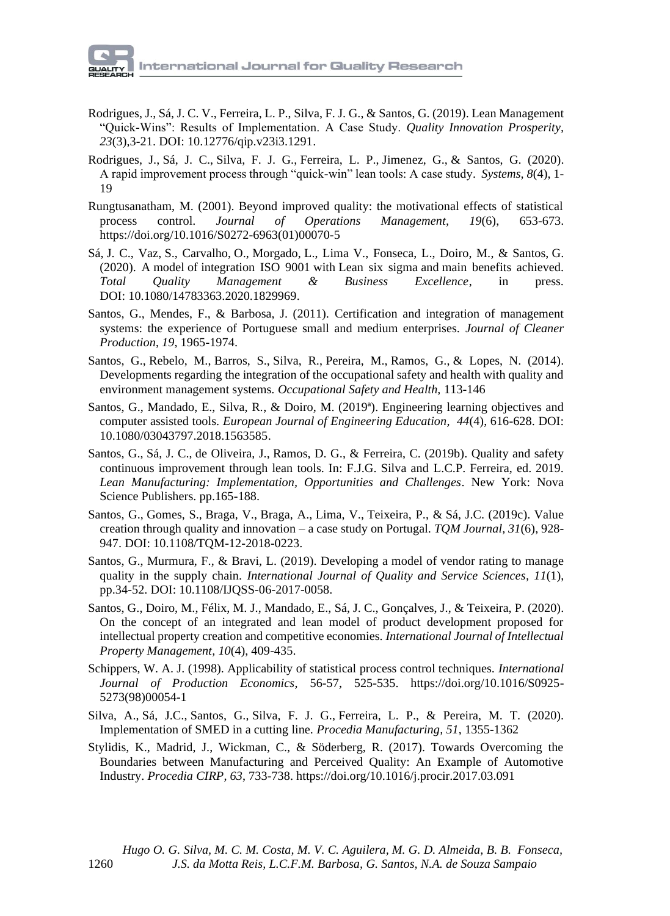- Rodrigues, J., Sá, J. C. V., Ferreira, L. P., Silva, F. J. G., & Santos, G. (2019). Lean Management "Quick-Wins": Results of Implementation. A Case Study. *Quality Innovation Prosperity, 23*(3),3-21[. DOI: 10.12776/qip.v23i3.1291.](http://dx.doi.org/10.12776/qip.v23i3.1291)
- Rodrigues, J., Sá, J. C., Silva, F. J. G., Ferreira, L. P., Jimenez, G., & Santos, G. (2020). A rapid improvement process through "quick-win" lean tools: A case study. *Systems, 8*(4), 1- 19
- Rungtusanatham, M. (2001). Beyond improved quality: the motivational effects of statistical process control. *Journal of Operations Management, 19*(6), 653-673. https://doi.org/10.1016/S0272-6963(01)00070-5
- Sá, J. C., Vaz, S., Carvalho, O., Morgado, L., Lima V., Fonseca, L., Doiro, M., & Santos, G. (2020). A model of integration ISO 9001 with Lean six sigma and main benefits achieved. *Total Quality Management & Business Excellence*, in press. DOI: [10.1080/14783363.2020.1829969.](https://doi.org/10.1080/14783363.2020.1829969)
- Santos, G., Mendes, F., & Barbosa, J. (2011). Certification and integration of management systems: the experience of Portuguese small and medium enterprises. *Journal of Cleaner Production*, *19*, 1965-1974.
- Santos, G., Rebelo, M., Barros, S., Silva, R., Pereira, M., Ramos, G., & Lopes, N. (2014). Developments regarding the integration of the occupational safety and health with quality and environment management systems. *Occupational Safety and Health,* 113-146
- Santos, G., Mandado, E., Silva, R., & Doiro, M. (2019ª). Engineering learning objectives and computer assisted tools. *European Journal of Engineering Education, 44*(4), 616-628. [DOI:](https://doi.org/10.1080/03043797.2018.1563585)  [10.1080/03043797.2018.1563585.](https://doi.org/10.1080/03043797.2018.1563585)
- Santos, G., Sá, J. C., de Oliveira, J., Ramos, D. G., & Ferreira, C. (2019b). Quality and safety continuous improvement through lean tools. In: F.J.G. Silva and L.C.P. Ferreira, ed. 2019. *Lean Manufacturing: Implementation, Opportunities and Challenges*. New York: Nova Science Publishers. pp.165-188.
- Santos, G., Gomes, S., Braga, V., Braga, A., Lima, V., Teixeira, P., & Sá, J.C. (2019c). Value creation through quality and innovation – a case study on Portugal. *TQM Journal, 31*(6), 928- 947. [DOI: 10.1108/TQM-12-2018-0223.](https://doi.org/10.1108/TQM-12-2018-0223)
- Santos, G., Murmura, F., & Bravi, L. (2019). Developing a model of vendor rating to manage quality in the supply chain. *International Journal of Quality and Service Sciences, 11*(1), pp.34-52. [DOI: 10.1108/IJQSS-06-2017-0058.](https://doi.org/10.1108/IJQSS-06-2017-0058)
- Santos, G., Doiro, M., Félix, M. J., Mandado, E., Sá, J. C., Gonçalves, J., & Teixeira, P. (2020). On the concept of an integrated and lean model of product development proposed for intellectual property creation and competitive economies. *International Journal of Intellectual Property Management, 10*(4), 409-435.
- Schippers, W. A. J. (1998). Applicability of statistical process control techniques. *International Journal of Production Economics*, 56-57, 525-535. https://doi.org/10.1016/S0925- 5273(98)00054-1
- Silva, A., Sá, J.C., Santos, G., Silva, F. J. G., Ferreira, L. P., & Pereira, M. T. (2020). Implementation of SMED in a cutting line. *Procedia Manufacturing, 51*, 1355-1362
- Stylidis, K., Madrid, J., Wickman, C., & Söderberg, R. (2017). Towards Overcoming the Boundaries between Manufacturing and Perceived Quality: An Example of Automotive Industry. *Procedia CIRP, 63*, 733-738. https://doi.org/10.1016/j.procir.2017.03.091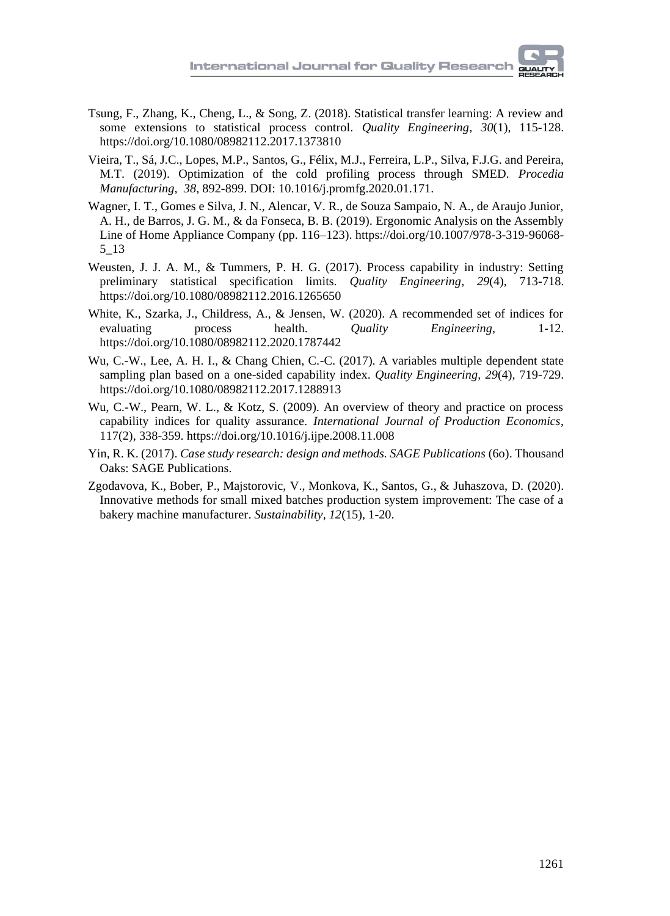- Tsung, F., Zhang, K., Cheng, L., & Song, Z. (2018). Statistical transfer learning: A review and some extensions to statistical process control. *Quality Engineering*, *30*(1), 115-128. https://doi.org/10.1080/08982112.2017.1373810
- Vieira, T., Sá, J.C., Lopes, M.P., Santos, G., Félix, M.J., Ferreira, L.P., Silva, F.J.G. and Pereira, M.T. (2019). Optimization of the cold profiling process through SMED. *Procedia Manufacturing, 38*, 892-899. DOI: 10.1016/j.promfg.2020.01.171.
- Wagner, I. T., Gomes e Silva, J. N., Alencar, V. R., de Souza Sampaio, N. A., de Araujo Junior, A. H., de Barros, J. G. M., & da Fonseca, B. B. (2019). Ergonomic Analysis on the Assembly Line of Home Appliance Company (pp. 116–123). https://doi.org/10.1007/978-3-319-96068- 5\_13
- Weusten, J. J. A. M., & Tummers, P. H. G. (2017). Process capability in industry: Setting preliminary statistical specification limits. *Quality Engineering, 29*(4), 713-718. https://doi.org/10.1080/08982112.2016.1265650
- White, K., Szarka, J., Childress, A., & Jensen, W. (2020). A recommended set of indices for evaluating process health. *Quality Engineering*, 1-12. https://doi.org/10.1080/08982112.2020.1787442
- Wu, C.-W., Lee, A. H. I., & Chang Chien, C.-C. (2017). A variables multiple dependent state sampling plan based on a one-sided capability index. *Quality Engineering, 29*(4), 719-729. https://doi.org/10.1080/08982112.2017.1288913
- Wu, C.-W., Pearn, W. L., & Kotz, S. (2009). An overview of theory and practice on process capability indices for quality assurance. *International Journal of Production Economics*, 117(2), 338-359. https://doi.org/10.1016/j.ijpe.2008.11.008
- Yin, R. K. (2017). *Case study research: design and methods. SAGE Publications* (6o). Thousand Oaks: SAGE Publications.
- Zgodavova, K., Bober, P., Majstorovic, V., Monkova, K., Santos, G., & Juhaszova, D. (2020). Innovative methods for small mixed batches production system improvement: The case of a bakery machine manufacturer. *[Sustainability,](https://ideas.repec.org/s/gam/jsusta.html) 12*(15), 1-20.